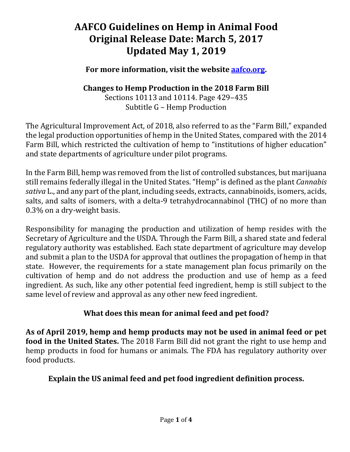#### **For more information, visit the website [aafco.org.](http://aafco.org/)**

### **Changes to Hemp Production in the 2018 Farm Bill**

Sections 10113 and 10114. Page 429–435 Subtitle G – Hemp Production

The Agricultural Improvement Act, of 2018, also referred to as the "Farm Bill," expanded the legal production opportunities of hemp in the United States, compared with the 2014 Farm Bill, which restricted the cultivation of hemp to "institutions of higher education" and state departments of agriculture under pilot programs.

In the Farm Bill, hemp was removed from the list of controlled substances, but marijuana still remains federally illegal in the United States. "Hemp" is defined as the plant *Cannabis sativa* L., and any part of the plant, including seeds, extracts, cannabinoids, isomers, acids, salts, and salts of isomers, with a delta-9 tetrahydrocannabinol (THC) of no more than 0.3% on a dry-weight basis.

Responsibility for managing the production and utilization of hemp resides with the Secretary of Agriculture and the USDA. Through the Farm Bill, a shared state and federal regulatory authority was established. Each state department of agriculture may develop and submit a plan to the USDA for approval that outlines the propagation of hemp in that state. However, the requirements for a state management plan focus primarily on the cultivation of hemp and do not address the production and use of hemp as a feed ingredient. As such, like any other potential feed ingredient, hemp is still subject to the same level of review and approval as any other new feed ingredient.

### **What does this mean for animal feed and pet food?**

**As of April 2019, hemp and hemp products may not be used in animal feed or pet food in the United States.** The 2018 Farm Bill did not grant the right to use hemp and hemp products in food for humans or animals. The FDA has regulatory authority over food products.

### **Explain the US animal feed and pet food ingredient definition process.**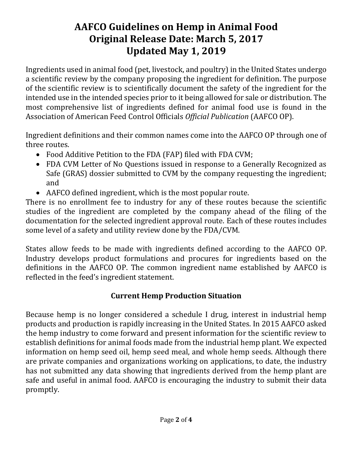Ingredients used in animal food (pet, livestock, and poultry) in the United States undergo a scientific review by the company proposing the ingredient for definition. The purpose of the scientific review is to scientifically document the safety of the ingredient for the intended use in the intended species prior to it being allowed for sale or distribution. The most comprehensive list of ingredients defined for animal food use is found in the Association of American Feed Control Officials *Official Publication* (AAFCO OP).

Ingredient definitions and their common names come into the AAFCO OP through one of three routes.

- Food Additive Petition to the FDA (FAP) filed with FDA CVM;
- FDA CVM Letter of No Questions issued in response to a Generally Recognized as Safe (GRAS) dossier submitted to CVM by the company requesting the ingredient; and
- AAFCO defined ingredient, which is the most popular route.

There is no enrollment fee to industry for any of these routes because the scientific studies of the ingredient are completed by the company ahead of the filing of the documentation for the selected ingredient approval route. Each of these routes includes some level of a safety and utility review done by the FDA/CVM.

States allow feeds to be made with ingredients defined according to the AAFCO OP. Industry develops product formulations and procures for ingredients based on the definitions in the AAFCO OP. The common ingredient name established by AAFCO is reflected in the feed's ingredient statement.

### **Current Hemp Production Situation**

Because hemp is no longer considered a schedule I drug, interest in industrial hemp products and production is rapidly increasing in the United States. In 2015 AAFCO asked the hemp industry to come forward and present information for the scientific review to establish definitions for animal foods made from the industrial hemp plant. We expected information on hemp seed oil, hemp seed meal, and whole hemp seeds. Although there are private companies and organizations working on applications, to date, the industry has not submitted any data showing that ingredients derived from the hemp plant are safe and useful in animal food. AAFCO is encouraging the industry to submit their data promptly.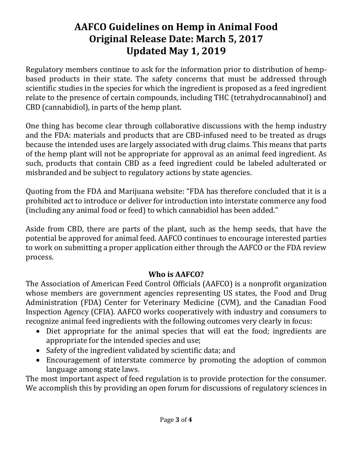Regulatory members continue to ask for the information prior to distribution of hempbased products in their state. The safety concerns that must be addressed through scientific studies in the species for which the ingredient is proposed as a feed ingredient relate to the presence of certain compounds, including THC (tetrahydrocannabinol) and CBD (cannabidiol), in parts of the hemp plant.

One thing has become clear through collaborative discussions with the hemp industry and the FDA: materials and products that are CBD-infused need to be treated as drugs because the intended uses are largely associated with drug claims. This means that parts of the hemp plant will not be appropriate for approval as an animal feed ingredient. As such, products that contain CBD as a feed ingredient could be labeled adulterated or misbranded and be subject to regulatory actions by state agencies.

Quoting from the FDA and Marijuana website: "FDA has therefore concluded that it is a prohibited act to introduce or deliver for introduction into interstate commerce any food (including any animal food or feed) to which cannabidiol has been added."

Aside from CBD, there are parts of the plant, such as the hemp seeds, that have the potential be approved for animal feed. AAFCO continues to encourage interested parties to work on submitting a proper application either through the AAFCO or the FDA review process.

### **Who is AAFCO?**

The Association of American Feed Control Officials (AAFCO) is a nonprofit organization whose members are government agencies representing US states, the Food and Drug Administration (FDA) Center for Veterinary Medicine (CVM), and the Canadian Food Inspection Agency (CFIA). AAFCO works cooperatively with industry and consumers to recognize animal feed ingredients with the following outcomes very clearly in focus:

- Diet appropriate for the animal species that will eat the food; ingredients are appropriate for the intended species and use;
- Safety of the ingredient validated by scientific data; and
- Encouragement of interstate commerce by promoting the adoption of common language among state laws.

The most important aspect of feed regulation is to provide protection for the consumer. We accomplish this by providing an open forum for discussions of regulatory sciences in